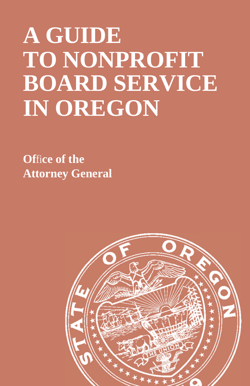# **A GUIDE TO NONPROFIT BOARD SERVICE IN OREGON**

**Of**fi**ce of the Attorney General**

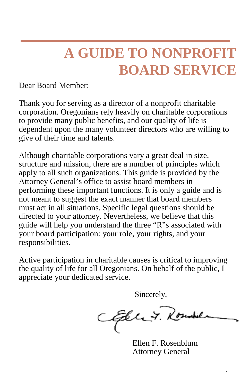### **A GUIDE TO NONPROFIT BOARD SERVICE**

Dear Board Member:

Thank you for serving as a director of a nonprofit charitable corporation. Oregonians rely heavily on charitable corporations to provide many public benefits, and our quality of life is dependent upon the many volunteer directors who are willing to give of their time and talents.

Although charitable corporations vary a great deal in size, structure and mission, there are a number of principles which apply to all such organizations. This guide is provided by the Attorney General's office to assist board members in performing these important functions. It is only a guide and is not meant to suggest the exact manner that board members must act in all situations. Specific legal questions should be directed to your attorney. Nevertheless, we believe that this guide will help you understand the three "R"s associated with your board participation: your role, your rights, and your responsibilities.

Active participation in charitable causes is critical to improving the quality of life for all Oregonians. On behalf of the public, I appreciate your dedicated service.

Sincerely,

Efele 7. Roundel

Ellen F. Rosenblum Attorney General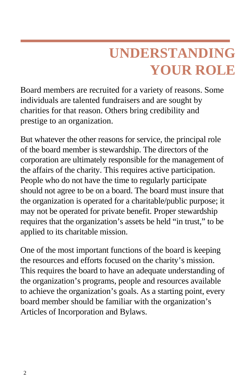## **UNDERSTANDING YOUR ROLE**

Board members are recruited for a variety of reasons. Some individuals are talented fundraisers and are sought by charities for that reason. Others bring credibility and prestige to an organization.

But whatever the other reasons for service, the principal role of the board member is stewardship. The directors of the corporation are ultimately responsible for the management of the affairs of the charity. This requires active participation. People who do not have the time to regularly participate should not agree to be on a board. The board must insure that the organization is operated for a charitable/public purpose; it may not be operated for private benefit. Proper stewardship requires that the organization's assets be held "in trust," to be applied to its charitable mission.

One of the most important functions of the board is keeping the resources and efforts focused on the charity's mission. This requires the board to have an adequate understanding of the organization's programs, people and resources available to achieve the organization's goals. As a starting point, every board member should be familiar with the organization's Articles of Incorporation and Bylaws.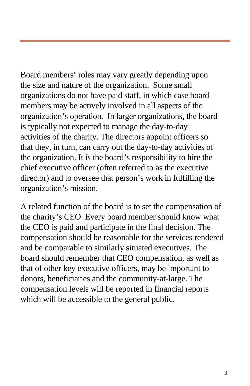Board members' roles may vary greatly depending upon the size and nature of the organization. Some small organizations do not have paid staff, in which case board members may be actively involved in all aspects of the organization's operation. In larger organizations, the board is typically not expected to manage the day-to-day activities of the charity. The directors appoint officers so that they, in turn, can carry out the day-to-day activities of the organization. It is the board's responsibility to hire the chief executive officer (often referred to as the executive director) and to oversee that person's work in fulfilling the organization's mission.

A related function of the board is to set the compensation of the charity's CEO. Every board member should know what the CEO is paid and participate in the final decision. The compensation should be reasonable for the services rendered and be comparable to similarly situated executives. The board should remember that CEO compensation, as well as that of other key executive officers, may be important to donors, beneficiaries and the community-at-large. The compensation levels will be reported in financial reports which will be accessible to the general public.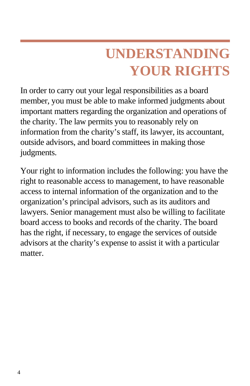# **UNDERSTANDING YOUR RIGHTS**

In order to carry out your legal responsibilities as a board member, you must be able to make informed judgments about important matters regarding the organization and operations of the charity. The law permits you to reasonably rely on information from the charity's staff, its lawyer, its accountant, outside advisors, and board committees in making those judgments.

Your right to information includes the following: you have the right to reasonable access to management, to have reasonable access to internal information of the organization and to the organization's principal advisors, such as its auditors and lawyers. Senior management must also be willing to facilitate board access to books and records of the charity. The board has the right, if necessary, to engage the services of outside advisors at the charity's expense to assist it with a particular matter.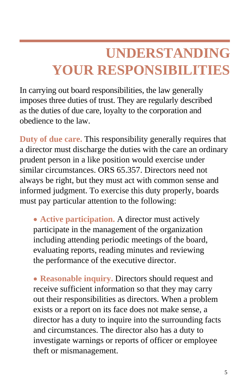### **UNDERSTANDING YOUR RESPONSIBILITIES**

In carrying out board responsibilities, the law generally imposes three duties of trust. They are regularly described as the duties of due care, loyalty to the corporation and obedience to the law.

**Duty of due care.** This responsibility generally requires that a director must discharge the duties with the care an ordinary prudent person in a like position would exercise under similar circumstances. ORS 65.357. Directors need not always be right, but they must act with common sense and informed judgment. To exercise this duty properly, boards must pay particular attention to the following:

• **Active participation.** A director must actively participate in the management of the organization including attending periodic meetings of the board, evaluating reports, reading minutes and reviewing the performance of the executive director.

• **Reasonable inquiry.** Directors should request and receive sufficient information so that they may carry out their responsibilities as directors. When a problem exists or a report on its face does not make sense, a director has a duty to inquire into the surrounding facts and circumstances. The director also has a duty to investigate warnings or reports of officer or employee theft or mismanagement.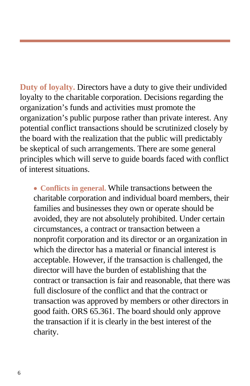**Duty of loyalty.** Directors have a duty to give their undivided loyalty to the charitable corporation. Decisions regarding the organization's funds and activities must promote the organization's public purpose rather than private interest. Any potential conflict transactions should be scrutinized closely by the board with the realization that the public will predictably be skeptical of such arrangements. There are some general principles which will serve to guide boards faced with conflict of interest situations.

• **Conflicts in general.** While transactions between the charitable corporation and individual board members, their families and businesses they own or operate should be avoided, they are not absolutely prohibited. Under certain circumstances, a contract or transaction between a nonprofit corporation and its director or an organization in which the director has a material or financial interest is acceptable. However, if the transaction is challenged, the director will have the burden of establishing that the contract or transaction is fair and reasonable, that there was full disclosure of the conflict and that the contract or transaction was approved by members or other directors in good faith. ORS 65.361. The board should only approve the transaction if it is clearly in the best interest of the charity.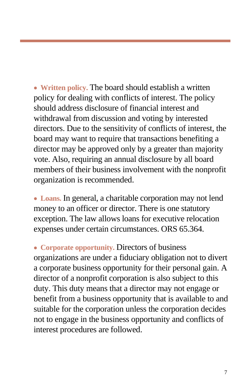• **Written policy.** The board should establish a written policy for dealing with conflicts of interest. The policy should address disclosure of financial interest and withdrawal from discussion and voting by interested directors. Due to the sensitivity of conflicts of interest, the board may want to require that transactions benefiting a director may be approved only by a greater than majority vote. Also, requiring an annual disclosure by all board members of their business involvement with the nonprofit organization is recommended.

• **Loans.** In general, a charitable corporation may not lend money to an officer or director. There is one statutory exception. The law allows loans for executive relocation expenses under certain circumstances. ORS 65.364.

• **Corporate opportunity.** Directors of business organizations are under a fiduciary obligation not to divert a corporate business opportunity for their personal gain. A director of a nonprofit corporation is also subject to this duty. This duty means that a director may not engage or benefit from a business opportunity that is available to and suitable for the corporation unless the corporation decides not to engage in the business opportunity and conflicts of interest procedures are followed.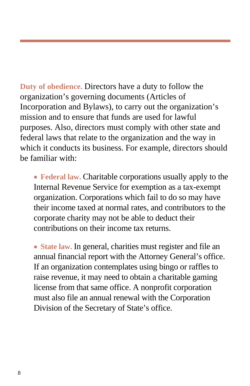**Duty of obedience.** Directors have a duty to follow the organization's governing documents (Articles of Incorporation and Bylaws), to carry out the organization's mission and to ensure that funds are used for lawful purposes. Also, directors must comply with other state and federal laws that relate to the organization and the way in which it conducts its business. For example, directors should be familiar with:

• **Federal law.** Charitable corporations usually apply to the Internal Revenue Service for exemption as a tax-exempt organization. Corporations which fail to do so may have their income taxed at normal rates, and contributors to the corporate charity may not be able to deduct their contributions on their income tax returns.

• State law. In general, charities must register and file an annual financial report with the Attorney General's office. If an organization contemplates using bingo or raffles to raise revenue, it may need to obtain a charitable gaming license from that same office. A nonprofit corporation must also file an annual renewal with the Corporation Division of the Secretary of State's office.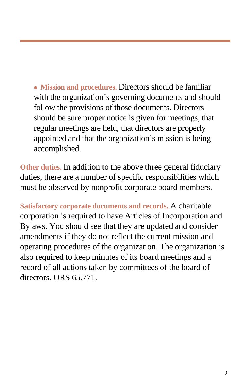• **Mission and procedures.** Directors should be familiar with the organization's governing documents and should follow the provisions of those documents. Directors should be sure proper notice is given for meetings, that regular meetings are held, that directors are properly appointed and that the organization's mission is being accomplished.

**Other duties.** In addition to the above three general fiduciary duties, there are a number of specific responsibilities which must be observed by nonprofit corporate board members.

**Satisfactory corporate documents and records.** A charitable corporation is required to have Articles of Incorporation and Bylaws. You should see that they are updated and consider amendments if they do not reflect the current mission and operating procedures of the organization. The organization is also required to keep minutes of its board meetings and a record of all actions taken by committees of the board of directors. ORS 65.771.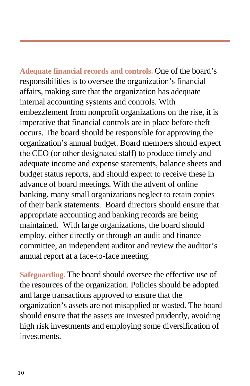**Adequate financial records and controls.** One of the board's responsibilities is to oversee the organization's financial affairs, making sure that the organization has adequate internal accounting systems and controls. With embezzlement from nonprofit organizations on the rise, it is imperative that financial controls are in place before theft occurs. The board should be responsible for approving the organization's annual budget. Board members should expect the CEO (or other designated staff) to produce timely and adequate income and expense statements, balance sheets and budget status reports, and should expect to receive these in advance of board meetings. With the advent of online banking, many small organizations neglect to retain copies of their bank statements. Board directors should ensure that appropriate accounting and banking records are being maintained. With large organizations, the board should employ, either directly or through an audit and finance committee, an independent auditor and review the auditor's annual report at a face-to-face meeting.

**Safeguarding.** The board should oversee the effective use of the resources of the organization. Policies should be adopted and large transactions approved to ensure that the organization's assets are not misapplied or wasted. The board should ensure that the assets are invested prudently, avoiding high risk investments and employing some diversification of investments.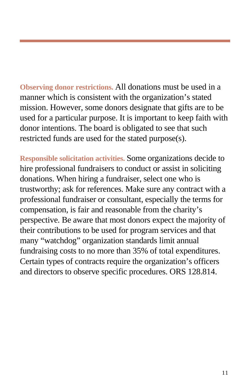**Observing donor restrictions.** All donations must be used in a manner which is consistent with the organization's stated mission. However, some donors designate that gifts are to be used for a particular purpose. It is important to keep faith with donor intentions. The board is obligated to see that such restricted funds are used for the stated purpose(s).

**Responsible solicitation activities.** Some organizations decide to hire professional fundraisers to conduct or assist in soliciting donations. When hiring a fundraiser, select one who is trustworthy; ask for references. Make sure any contract with a professional fundraiser or consultant, especially the terms for compensation, is fair and reasonable from the charity's perspective. Be aware that most donors expect the majority of their contributions to be used for program services and that many "watchdog" organization standards limit annual fundraising costs to no more than 35% of total expenditures. Certain types of contracts require the organization's officers and directors to observe specific procedures. ORS 128.814.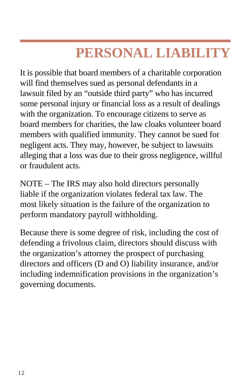### **PERSONAL LIABILITY**

It is possible that board members of a charitable corporation will find themselves sued as personal defendants in a lawsuit filed by an "outside third party" who has incurred some personal injury or financial loss as a result of dealings with the organization. To encourage citizens to serve as board members for charities, the law cloaks volunteer board members with qualified immunity. They cannot be sued for negligent acts. They may, however, be subject to lawsuits alleging that a loss was due to their gross negligence, willful or fraudulent acts.

NOTE – The IRS may also hold directors personally liable if the organization violates federal tax law. The most likely situation is the failure of the organization to perform mandatory payroll withholding.

Because there is some degree of risk, including the cost of defending a frivolous claim, directors should discuss with the organization's attorney the prospect of purchasing directors and officers (D and O) liability insurance, and/or including indemnification provisions in the organization's governing documents.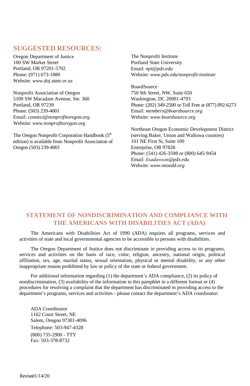#### **SUGGESTED RESOURCES:**

Oregon Department of Justice 100 SW Market Street Portland, OR 97201-5702 Phone: (971) 673-1880 Website: *www.doj.state.or.us*

Nonprofit Association of Oregon 5100 SW Macadam Avenue, Ste. 360 Portland, OR 97239 Phone: (503) 239-4001 Email: *connect@nonprofitoregon.org* Website: *www.nonprofitoregon.org*

The Oregon Nonprofit Corporation Handbook (5<sup>th</sup>) edition) is available from Nonprofit Association of Oregon (503) 239-4001

The Nonprofit Institute Portland State University Email: *npi@pdx.edu* Website: *www.pdx.edu/nonprofit-institute*

**BoardSource** 750 9th Street, NW, Suite 650 Washington, DC 20001-4793 Phone: (202) 349-2500 or Toll Free at (877) 892-6273 Email: *members@boardsource.org* Website: *www.boardsource.org*

Northeast Oregon Economic Development District (serving Baker, Union and Wallowa counties) 101 NE First St, Suite 100 Enterprise, OR 97828 Phone: (541) 426-3598 or (800) 645-9454 Email: *lisadawson@pdx.edu* Website: *www.neoedd.org*

#### **STATEMENT OF NONDISCRIMINATION AND COMPLIANCE WITH THE AMERICANS WITH DISABILITIES ACT (ADA)**

The Americans with Disabilities Act of 1990 (ADA) requires all programs, services and activities of state and local governmental agencies to be accessible to persons with disabilities.

The Oregon Department of Justice does not discriminate in providing access to its programs, services and activities on the basis of race, color, religion, ancestry, national origin, political affiliation, sex, age, marital status, sexual orientation, physical or mental disability, or any other inappropriate reason prohibited by law or policy of the state or federal government.

For additional information regarding (1) the department's ADA compliance, (2) its policy of nondiscrimination, (3) availability of the information in this pamphlet in a different format or (4) procedures for resolving a complaint that the department has discriminated in providing access to the department's programs, services and activities - please contact the department's ADA coordinator:

ADA Coordinator 1162 Court Street, NE Salem, Oregon 97301-4096 Telephone: 503-947-4328 (800) 735-2900 - TTY Fax: 503-378-8732